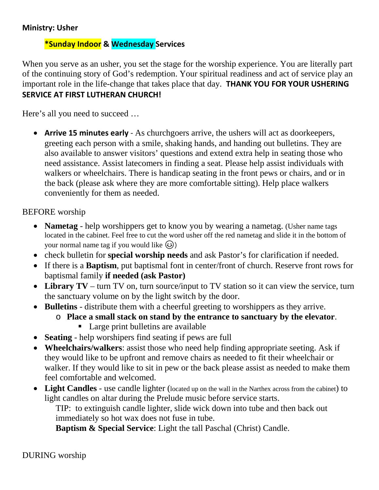## **Ministry: Usher**

# **\*Sunday Indoor & Wednesday Services**

When you serve as an usher, you set the stage for the worship experience. You are literally part of the continuing story of God's redemption. Your spiritual readiness and act of service play an important role in the life-change that takes place that day. **THANK YOU FOR YOUR USHERING SERVICE AT FIRST LUTHERAN CHURCH!**

Here's all you need to succeed …

• **Arrive 15 minutes early** - As churchgoers arrive, the ushers will act as doorkeepers, greeting each person with a smile, shaking hands, and handing out bulletins. They are also available to answer visitors' questions and extend extra help in seating those who need assistance. Assist latecomers in finding a seat. Please help assist individuals with walkers or wheelchairs. There is handicap seating in the front pews or chairs, and or in the back (please ask where they are more comfortable sitting). Help place walkers conveniently for them as needed.

BEFORE worship

- **Nametag** help worshippers get to know you by wearing a nametag. (Usher name tags located in the cabinet. Feel free to cut the word usher off the red nametag and slide it in the bottom of your normal name tag if you would like  $\circled{e}$ )
- check bulletin for **special worship needs** and ask Pastor's for clarification if needed.
- If there is a **Baptism**, put baptismal font in center/front of church. Reserve front rows for baptismal family **if needed (ask Pastor)**
- Library TV turn TV on, turn source/input to TV station so it can view the service, turn the sanctuary volume on by the light switch by the door.
- **Bulletins** distribute them with a cheerful greeting to worshippers as they arrive.
	- o **Place a small stack on stand by the entrance to sanctuary by the elevator**.
		- Large print bulletins are available
- **Seating** help worshipers find seating if pews are full
- **Wheelchairs/walkers**: assist those who need help finding appropriate seeting. Ask if they would like to be upfront and remove chairs as needed to fit their wheelchair or walker. If they would like to sit in pew or the back please assist as needed to make them feel comfortable and welcomed.
- **Light Candles** use candle lighter (located up on the wall in the Narthex across from the cabinet) to light candles on altar during the Prelude music before service starts.

TIP: to extinguish candle lighter, slide wick down into tube and then back out immediately so hot wax does not fuse in tube.

**Baptism & Special Service**: Light the tall Paschal (Christ) Candle.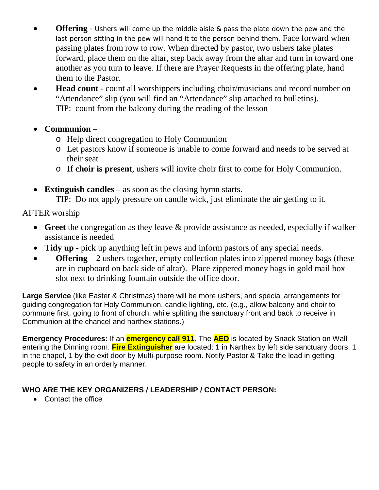- **Offering** Ushers will come up the middle aisle & pass the plate down the pew and the last person sitting in the pew will hand it to the person behind them. Face forward when passing plates from row to row. When directed by pastor, two ushers take plates forward, place them on the altar, step back away from the altar and turn in toward one another as you turn to leave. If there are Prayer Requests in the offering plate, hand them to the Pastor.
- **Head count** count all worshippers including choir/musicians and record number on "Attendance" slip (you will find an "Attendance" slip attached to bulletins). TIP: count from the balcony during the reading of the lesson
- **Communion**
	- o Help direct congregation to Holy Communion
	- o Let pastors know if someone is unable to come forward and needs to be served at their seat
	- o **If choir is present**, ushers will invite choir first to come for Holy Communion.
- **Extinguish candles** as soon as the closing hymn starts.

TIP: Do not apply pressure on candle wick, just eliminate the air getting to it.

AFTER worship

- **Greet** the congregation as they leave & provide assistance as needed, especially if walker assistance is needed
- **Tidy up** pick up anything left in pews and inform pastors of any special needs.
- **Offering** 2 ushers together, empty collection plates into zippered money bags (these are in cupboard on back side of altar). Place zippered money bags in gold mail box slot next to drinking fountain outside the office door.

**Large Service** (like Easter & Christmas) there will be more ushers, and special arrangements for guiding congregation for Holy Communion, candle lighting, etc. (e.g., allow balcony and choir to commune first, going to front of church, while splitting the sanctuary front and back to receive in Communion at the chancel and narthex stations.)

**Emergency Procedures:** If an **emergency call 911**. The **AED** is located by Snack Station on Wall entering the Dinning room. **Fire Extinguisher** are located: 1 in Narthex by left side sanctuary doors, 1 in the chapel, 1 by the exit door by Multi-purpose room. Notify Pastor & Take the lead in getting people to safety in an orderly manner.

# **WHO ARE THE KEY ORGANIZERS / LEADERSHIP / CONTACT PERSON:**

• Contact the office